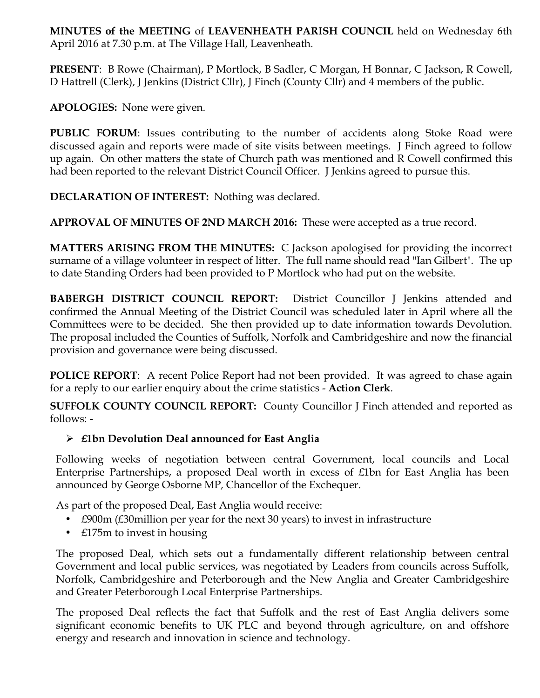**MINUTES of the MEETING** of **LEAVENHEATH PARISH COUNCIL** held on Wednesday 6th April 2016 at 7.30 p.m. at The Village Hall, Leavenheath.

**PRESENT**: B Rowe (Chairman), P Mortlock, B Sadler, C Morgan, H Bonnar, C Jackson, R Cowell, D Hattrell (Clerk), J Jenkins (District Cllr), J Finch (County Cllr) and 4 members of the public.

**APOLOGIES:** None were given.

**PUBLIC FORUM**: Issues contributing to the number of accidents along Stoke Road were discussed again and reports were made of site visits between meetings. J Finch agreed to follow up again. On other matters the state of Church path was mentioned and R Cowell confirmed this had been reported to the relevant District Council Officer. J Jenkins agreed to pursue this.

**DECLARATION OF INTEREST:** Nothing was declared.

**APPROVAL OF MINUTES OF 2ND MARCH 2016:** These were accepted as a true record.

**MATTERS ARISING FROM THE MINUTES:** C Jackson apologised for providing the incorrect surname of a village volunteer in respect of litter. The full name should read "Ian Gilbert". The up to date Standing Orders had been provided to P Mortlock who had put on the website.

**BABERGH DISTRICT COUNCIL REPORT:** District Councillor J Jenkins attended and confirmed the Annual Meeting of the District Council was scheduled later in April where all the Committees were to be decided. She then provided up to date information towards Devolution. The proposal included the Counties of Suffolk, Norfolk and Cambridgeshire and now the financial provision and governance were being discussed.

**POLICE REPORT:** A recent Police Report had not been provided. It was agreed to chase again for a reply to our earlier enquiry about the crime statistics - **Action Clerk**.

**SUFFOLK COUNTY COUNCIL REPORT:** County Councillor J Finch attended and reported as follows: -

# Ø **£1bn Devolution Deal announced for East Anglia**

Following weeks of negotiation between central Government, local councils and Local Enterprise Partnerships, a proposed Deal worth in excess of £1bn for East Anglia has been announced by George Osborne MP, Chancellor of the Exchequer.

As part of the proposed Deal, East Anglia would receive:

- £900m (£30million per year for the next 30 years) to invest in infrastructure
- £175m to invest in housing

The proposed Deal, which sets out a fundamentally different relationship between central Government and local public services, was negotiated by Leaders from councils across Suffolk, Norfolk, Cambridgeshire and Peterborough and the New Anglia and Greater Cambridgeshire and Greater Peterborough Local Enterprise Partnerships.

The proposed Deal reflects the fact that Suffolk and the rest of East Anglia delivers some significant economic benefits to UK PLC and beyond through agriculture, on and offshore energy and research and innovation in science and technology.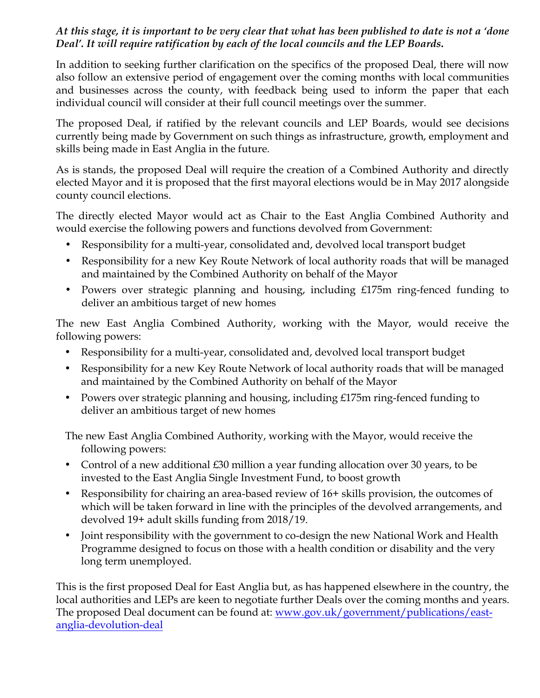### *At this stage, it is important to be very clear that what has been published to date is not a 'done Deal'. It will require ratification by each of the local councils and the LEP Boards***.**

In addition to seeking further clarification on the specifics of the proposed Deal, there will now also follow an extensive period of engagement over the coming months with local communities and businesses across the county, with feedback being used to inform the paper that each individual council will consider at their full council meetings over the summer.

The proposed Deal, if ratified by the relevant councils and LEP Boards, would see decisions currently being made by Government on such things as infrastructure, growth, employment and skills being made in East Anglia in the future.

As is stands, the proposed Deal will require the creation of a Combined Authority and directly elected Mayor and it is proposed that the first mayoral elections would be in May 2017 alongside county council elections.

The directly elected Mayor would act as Chair to the East Anglia Combined Authority and would exercise the following powers and functions devolved from Government:

- Responsibility for a multi-year, consolidated and, devolved local transport budget
- Responsibility for a new Key Route Network of local authority roads that will be managed and maintained by the Combined Authority on behalf of the Mayor
- Powers over strategic planning and housing, including £175m ring-fenced funding to deliver an ambitious target of new homes

The new East Anglia Combined Authority, working with the Mayor, would receive the following powers:

- Responsibility for a multi-year, consolidated and, devolved local transport budget
- Responsibility for a new Key Route Network of local authority roads that will be managed and maintained by the Combined Authority on behalf of the Mayor
- Powers over strategic planning and housing, including £175m ring-fenced funding to deliver an ambitious target of new homes

The new East Anglia Combined Authority, working with the Mayor, would receive the following powers:

- Control of a new additional £30 million a year funding allocation over 30 years, to be invested to the East Anglia Single Investment Fund, to boost growth
- Responsibility for chairing an area-based review of 16+ skills provision, the outcomes of which will be taken forward in line with the principles of the devolved arrangements, and devolved 19+ adult skills funding from 2018/19.
- Joint responsibility with the government to co-design the new National Work and Health Programme designed to focus on those with a health condition or disability and the very long term unemployed.

This is the first proposed Deal for East Anglia but, as has happened elsewhere in the country, the local authorities and LEPs are keen to negotiate further Deals over the coming months and years. The proposed Deal document can be found at: www.gov.uk/government/publications/eastanglia-devolution-deal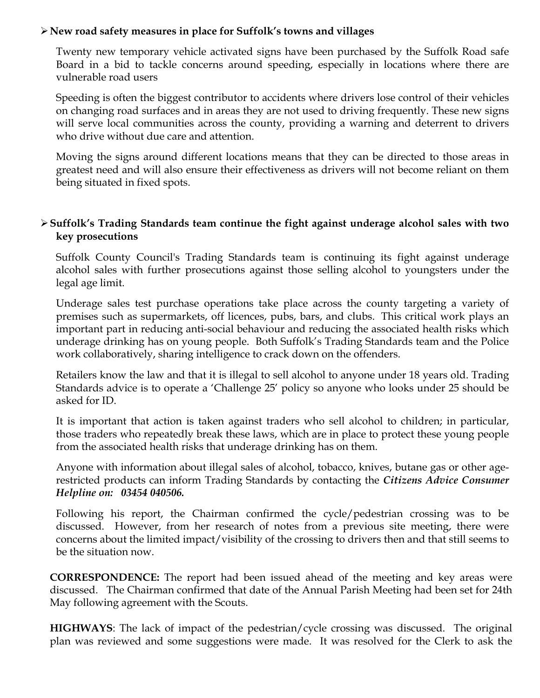#### Ø**New road safety measures in place for Suffolk's towns and villages**

Twenty new temporary vehicle activated signs have been purchased by the Suffolk Road safe Board in a bid to tackle concerns around speeding, especially in locations where there are vulnerable road users

Speeding is often the biggest contributor to accidents where drivers lose control of their vehicles on changing road surfaces and in areas they are not used to driving frequently. These new signs will serve local communities across the county, providing a warning and deterrent to drivers who drive without due care and attention.

Moving the signs around different locations means that they can be directed to those areas in greatest need and will also ensure their effectiveness as drivers will not become reliant on them being situated in fixed spots.

#### Ø**Suffolk's Trading Standards team continue the fight against underage alcohol sales with two key prosecutions**

Suffolk County Council's Trading Standards team is continuing its fight against underage alcohol sales with further prosecutions against those selling alcohol to youngsters under the legal age limit.

Underage sales test purchase operations take place across the county targeting a variety of premises such as supermarkets, off licences, pubs, bars, and clubs. This critical work plays an important part in reducing anti-social behaviour and reducing the associated health risks which underage drinking has on young people. Both Suffolk's Trading Standards team and the Police work collaboratively, sharing intelligence to crack down on the offenders.

Retailers know the law and that it is illegal to sell alcohol to anyone under 18 years old. Trading Standards advice is to operate a 'Challenge 25' policy so anyone who looks under 25 should be asked for ID.

It is important that action is taken against traders who sell alcohol to children; in particular, those traders who repeatedly break these laws, which are in place to protect these young people from the associated health risks that underage drinking has on them.

Anyone with information about illegal sales of alcohol, tobacco, knives, butane gas or other agerestricted products can inform Trading Standards by contacting the *Citizens Advice Consumer Helpline on: 03454 040506.*

Following his report, the Chairman confirmed the cycle/pedestrian crossing was to be discussed. However, from her research of notes from a previous site meeting, there were concerns about the limited impact/visibility of the crossing to drivers then and that still seems to be the situation now.

**CORRESPONDENCE:** The report had been issued ahead of the meeting and key areas were discussed. The Chairman confirmed that date of the Annual Parish Meeting had been set for 24th May following agreement with the Scouts.

**HIGHWAYS**: The lack of impact of the pedestrian/cycle crossing was discussed. The original plan was reviewed and some suggestions were made. It was resolved for the Clerk to ask the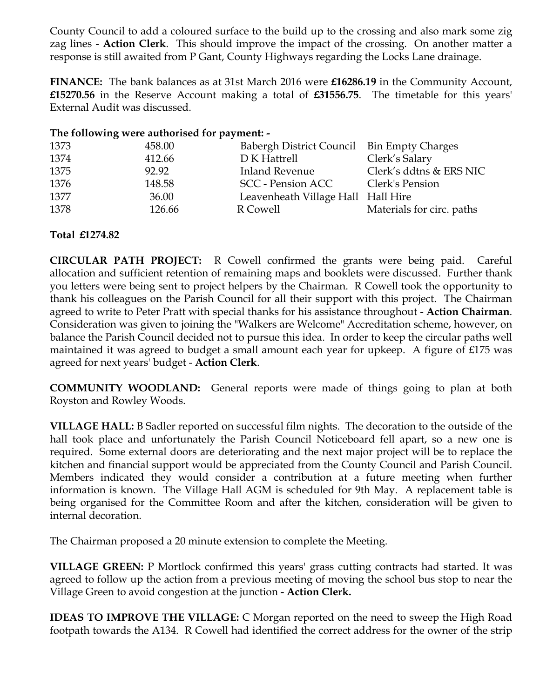County Council to add a coloured surface to the build up to the crossing and also mark some zig zag lines - **Action Clerk**. This should improve the impact of the crossing. On another matter a response is still awaited from P Gant, County Highways regarding the Locks Lane drainage.

**FINANCE:** The bank balances as at 31st March 2016 were **£16286.19** in the Community Account, **£15270.56** in the Reserve Account making a total of **£31556.75**. The timetable for this years' External Audit was discussed.

| The following were authorised for payment: - |        |                                            |                           |
|----------------------------------------------|--------|--------------------------------------------|---------------------------|
| 1373                                         | 458.00 | Babergh District Council Bin Empty Charges |                           |
| 1374                                         | 412.66 | D K Hattrell                               | Clerk's Salary            |
| 1375                                         | 92.92  | <b>Inland Revenue</b>                      | Clerk's ddtns & ERS NIC   |
| 1376                                         | 148.58 | <b>SCC</b> - Pension ACC                   | Clerk's Pension           |
| 1377                                         | 36.00  | Leavenheath Village Hall Hall Hire         |                           |
| 1378                                         | 126.66 | R Cowell                                   | Materials for circ. paths |

#### **Total £1274.82**

**CIRCULAR PATH PROJECT:** R Cowell confirmed the grants were being paid. Careful allocation and sufficient retention of remaining maps and booklets were discussed. Further thank you letters were being sent to project helpers by the Chairman. R Cowell took the opportunity to thank his colleagues on the Parish Council for all their support with this project. The Chairman agreed to write to Peter Pratt with special thanks for his assistance throughout - **Action Chairman**. Consideration was given to joining the "Walkers are Welcome" Accreditation scheme, however, on balance the Parish Council decided not to pursue this idea. In order to keep the circular paths well maintained it was agreed to budget a small amount each year for upkeep. A figure of £175 was agreed for next years' budget - **Action Clerk**.

**COMMUNITY WOODLAND:** General reports were made of things going to plan at both Royston and Rowley Woods.

**VILLAGE HALL:** B Sadler reported on successful film nights. The decoration to the outside of the hall took place and unfortunately the Parish Council Noticeboard fell apart, so a new one is required. Some external doors are deteriorating and the next major project will be to replace the kitchen and financial support would be appreciated from the County Council and Parish Council. Members indicated they would consider a contribution at a future meeting when further information is known. The Village Hall AGM is scheduled for 9th May. A replacement table is being organised for the Committee Room and after the kitchen, consideration will be given to internal decoration.

The Chairman proposed a 20 minute extension to complete the Meeting.

**VILLAGE GREEN:** P Mortlock confirmed this years' grass cutting contracts had started. It was agreed to follow up the action from a previous meeting of moving the school bus stop to near the Village Green to avoid congestion at the junction **- Action Clerk.** 

**IDEAS TO IMPROVE THE VILLAGE:** C Morgan reported on the need to sweep the High Road footpath towards the A134. R Cowell had identified the correct address for the owner of the strip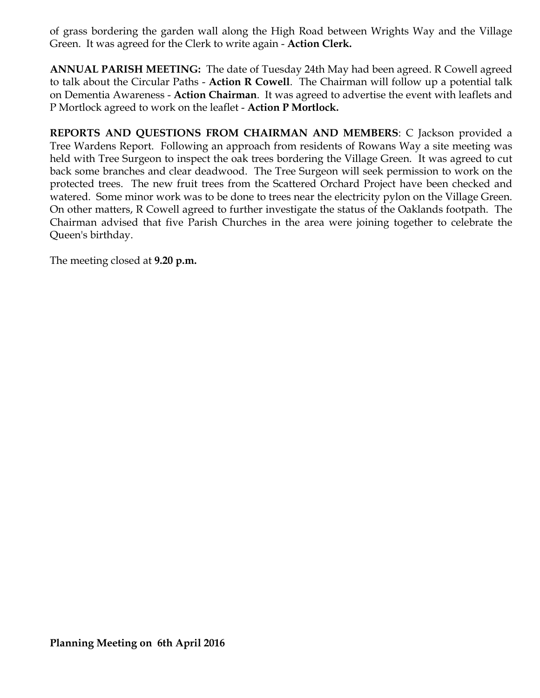of grass bordering the garden wall along the High Road between Wrights Way and the Village Green. It was agreed for the Clerk to write again - **Action Clerk.**

**ANNUAL PARISH MEETING:** The date of Tuesday 24th May had been agreed. R Cowell agreed to talk about the Circular Paths - **Action R Cowell**. The Chairman will follow up a potential talk on Dementia Awareness - **Action Chairman**. It was agreed to advertise the event with leaflets and P Mortlock agreed to work on the leaflet - **Action P Mortlock.**

**REPORTS AND QUESTIONS FROM CHAIRMAN AND MEMBERS**: C Jackson provided a Tree Wardens Report. Following an approach from residents of Rowans Way a site meeting was held with Tree Surgeon to inspect the oak trees bordering the Village Green. It was agreed to cut back some branches and clear deadwood. The Tree Surgeon will seek permission to work on the protected trees. The new fruit trees from the Scattered Orchard Project have been checked and watered. Some minor work was to be done to trees near the electricity pylon on the Village Green. On other matters, R Cowell agreed to further investigate the status of the Oaklands footpath. The Chairman advised that five Parish Churches in the area were joining together to celebrate the Queen's birthday.

The meeting closed at **9.20 p.m.**